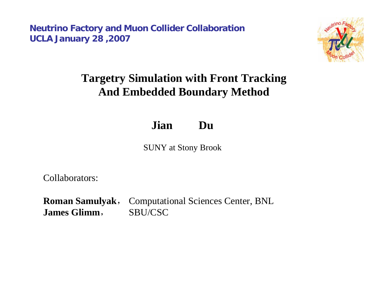**Neutrino Factory and Muon Collider Collaboration UCLA January 28 ,2007**



## **Targetry Simulation with Front Tracking And Embedded Boundary Method**

**Jian Du**

SUNY at Stony Brook

Collaborators:

**Roman Samulyak**, Computational Sciences Center, BNL **James Glimm**,SBU/CSC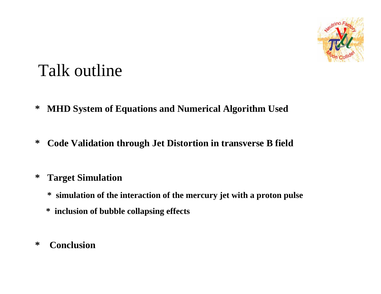

# Talk outline

- **\* MHD System of Equations and Numerical Algorithm Used**
- **\* Code Validation through Jet Distortion in transverse B field**
- **\* Target Simulation** 
	- **\* simulation of the interaction of the mercury jet with a proton pulse**
	- **\* inclusion of bubble collapsing effects**
- **\* Conclusion**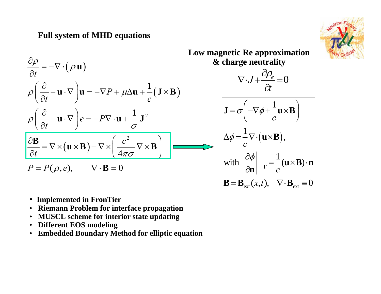#### **Full system of MHD equations**



$$
\rho \left( \frac{\partial}{\partial t} + \mathbf{u} \cdot \nabla \right) \mathbf{u} = -\nabla P + \mu \Delta \mathbf{u} + \frac{1}{c} (\mathbf{J} \times \mathbf{B})
$$

$$
\rho \left( \frac{\partial}{\partial t} + \mathbf{u} \cdot \nabla \right) e = -P \nabla \cdot \mathbf{u} + \frac{1}{\sigma} \mathbf{J}^2
$$

$$
\frac{\partial \mathbf{B}}{\partial t} = \nabla \times (\mathbf{u} \times \mathbf{B}) - \nabla \times \left( \frac{c^2}{4\pi \sigma} \nabla \times \mathbf{B} \right)
$$

$$
P = P(\rho, e), \qquad \nabla \cdot \mathbf{B} = 0
$$

 $(\rho \, \mathbf{u})$ 

**u**

 $\rho$ 

*t*

∂

 $\rho$ 

 $\frac{\partial \rho}{\partial t} = -\nabla \cdot \vec{v}$ 

- **Implemented in FronTier**
- **Riemann Problem for interface propagation**
- **MUSCL scheme for interior state updating**
- **Different EOS modeling**
- **Embedded Boundary Method for elliptic equation**

**Low magnetic Re approximation & charge neutrality**



$$
\mathbf{J} = \sigma \left( -\nabla \phi + \frac{1}{c} \mathbf{u} \times \mathbf{B} \right)
$$

$$
\Delta \phi = \frac{1}{c} \nabla \cdot (\mathbf{u} \times \mathbf{B}),
$$

$$
\text{with } \frac{\partial \phi}{\partial \mathbf{n}} \bigg|_{\Gamma} = \frac{1}{c} (\mathbf{u} \times \mathbf{B}) \cdot \mathbf{n}
$$

$$
\mathbf{B} = \mathbf{B}_{\text{ext}}(x, t), \quad \nabla \cdot \mathbf{B}_{\text{ext}} \equiv 0
$$

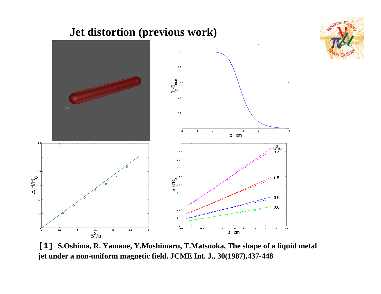

**[1] S.Oshima, R. Yamane, Y.Moshimaru, T.Matsuoka, The shape of a liquid metal jet under a non-uniform magnetic field. JCME Int. J., 30(1987),437-448**

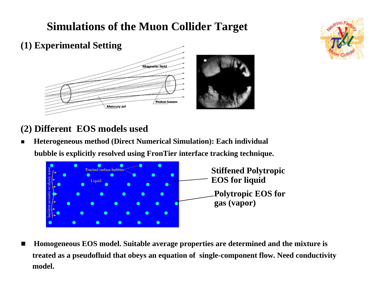## **Simulations of the Muon Collider Target**



#### **(2) Different EOS models used**

Г **Heterogeneous method (Direct Numerical Simulation): Each individual bubble is explicitly resolved using FronTier interface tracking technique.**



 $\blacksquare$  **Homogeneous EOS model. Suitable average properties are determined and the mixture is treated as a pseudofluid that obeys an equation of single-component flow. Need conductivity model.**

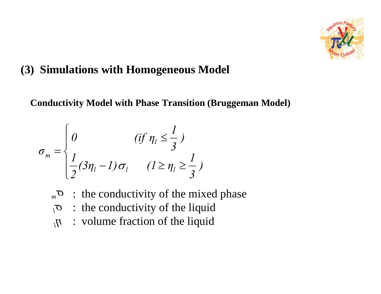

### **(3) Simulations with Homogeneous Model**

**Conductivity Model with Phase Transition (Bruggeman Model)**

$$
\sigma_m = \begin{cases}\n0 & (if \ \eta_l \leq \frac{1}{3}) \\
\frac{1}{2}(3\eta_l - 1)\sigma_l & (l \geq \eta_l \geq \frac{1}{3})\n\end{cases}
$$

- *m* <sup>σ</sup>: the conductivity of the mixed phase
- : the conductivity of the liquid *l* <sup>σ</sup>
- $\eta$  : volume fraction of the liquid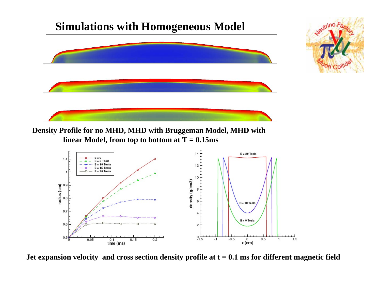



**Density Profile for no MHD, MHD with Bruggeman Model, MHD with linear Model, from top to bottom at T = 0.15ms**



**Jet expansion velocity and cross section density profile at t = 0.1 ms for different magnetic field**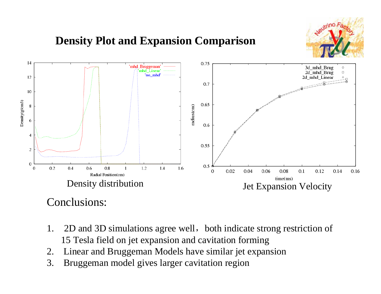

## **Density Plot and Expansion Comparison**



#### Conclusions:

- 1. 2D and 3D simulations agree well, both indicate strong restriction of 15 Tesla field on jet expansion and cavitation forming
- 2. Linear and Bruggeman Models have similar jet expansion
- 3. Bruggeman model gives larger cavitation region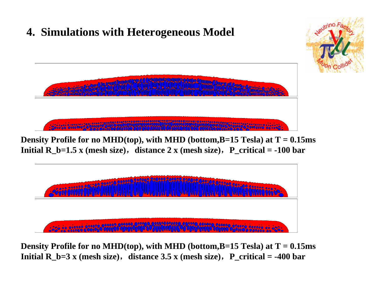

**Density Profile for no MHD(top), with MHD (bottom,B=15 Tesla) at T = 0.15ms Initial R\_b=3 x (mesh size)**, distance 3.5 x (mesh size), P\_critical = -400 bar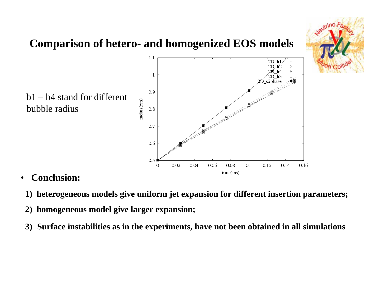

- • **Conclusion:**
	- **1) heterogeneous models give uniform jet expansion for different insertion parameters;**
- **2) homogeneous model give larger expansion;**
- **3) Surface instabilities as in the experiments, have not been obtained in all simulations**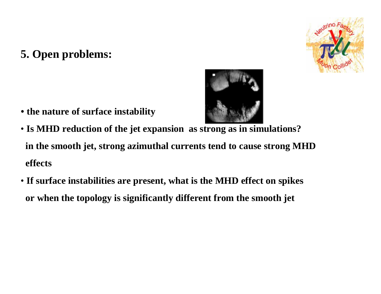## **5. Open problems:**





- **the nature of surface instability**
- **Is MHD reduction of the jet expansion as strong as in simulations? in the smooth jet, strong azimuthal currents tend to cause strong MHD effects**
- **If surface instabilities are present, what is the MHD effect on spikes or when the topology is significantly different from the smooth jet**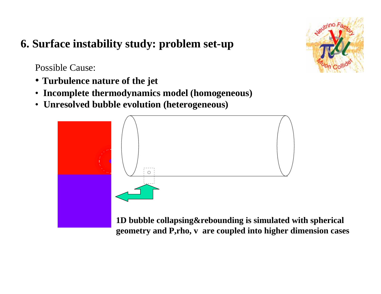## **6. Surface instability study: problem set-up**

Possible Cause:

- **Turbulence nature of the jet**
- **Incomplete thermodynamics model (homogeneous)**
- **Unresolved bubble evolution (heterogeneous)**



**1D bubble collapsing&rebounding is simulated with spherical geometry and P,rho, v are coupled into higher dimension cases**

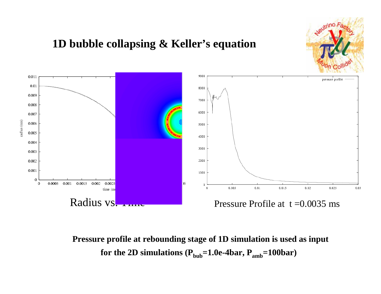

## **1D bubble collapsing & Keller's equation**



**Pressure profile at rebounding stage of 1D simulation is used as input** for the 2D simulations  $(P_{bub}=1.0e-4bar, P_{amb}=100bar)$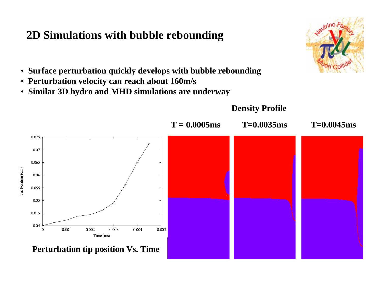#### **2D Simulations with bubble rebounding**



- **Surface perturbation quickly develops with bubble rebounding**
- **Perturbation velocity can reach about 160m/s**
- **Similar 3D hydro and MHD simulations are underway**